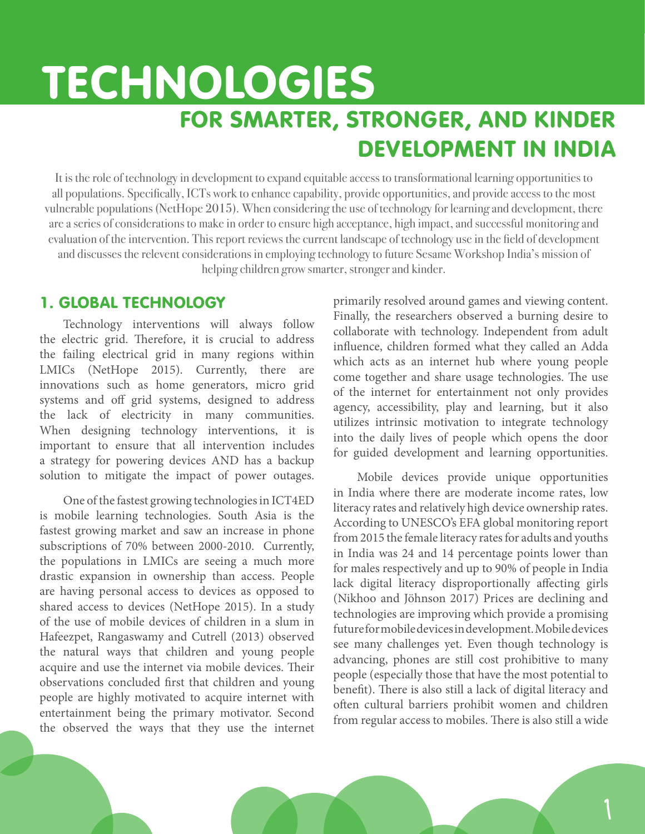# TECHNOLOGIES FOR SMARTER, STRONGER, AND KINDER DEVELOPMENT IN INDIA

It is the role of technology in development to expand equitable access to transformational learning opportunities to all populations. Specifically, ICTs work to enhance capability, provide opportunities, and provide access to the most vulnerable populations (NetHope 2015). When considering the use of technology for learning and development, there are a series of considerations to make in order to ensure high acceptance, high impact, and successful monitoring and evaluation of the intervention. This report reviews the current landscape of technology use in the field of development and discusses the relevent considerations in employing technology to future Sesame Workshop India's mission of helping children grow smarter, stronger and kinder.

# 1. GLOBAL TECHNOLOGY

Technology interventions will always follow the electric grid. Therefore, it is crucial to address the failing electrical grid in many regions within LMICs (NetHope 2015). Currently, there are innovations such as home generators, micro grid systems and off grid systems, designed to address the lack of electricity in many communities. When designing technology interventions, it is important to ensure that all intervention includes a strategy for powering devices AND has a backup solution to mitigate the impact of power outages.

One of the fastest growing technologies in ICT4ED is mobile learning technologies. South Asia is the fastest growing market and saw an increase in phone subscriptions of 70% between 2000-2010. Currently, the populations in LMICs are seeing a much more drastic expansion in ownership than access. People are having personal access to devices as opposed to shared access to devices (NetHope 2015). In a study of the use of mobile devices of children in a slum in Hafeezpet, Rangaswamy and Cutrell (2013) observed the natural ways that children and young people acquire and use the internet via mobile devices. Their observations concluded first that children and young people are highly motivated to acquire internet with entertainment being the primary motivator. Second the observed the ways that they use the internet

primarily resolved around games and viewing content. Finally, the researchers observed a burning desire to collaborate with technology. Independent from adult influence, children formed what they called an Adda which acts as an internet hub where young people come together and share usage technologies. The use of the internet for entertainment not only provides agency, accessibility, play and learning, but it also utilizes intrinsic motivation to integrate technology into the daily lives of people which opens the door for guided development and learning opportunities.

Mobile devices provide unique opportunities in India where there are moderate income rates, low literacy rates and relatively high device ownership rates. According to UNESCO's EFA global monitoring report from 2015 the female literacy rates for adults and youths in India was 24 and 14 percentage points lower than for males respectively and up to 90% of people in India lack digital literacy disproportionally affecting girls (Nikhoo and Jöhnson 2017) Prices are declining and technologies are improving which provide a promising future for mobile devices in development. Mobile devices see many challenges yet. Even though technology is advancing, phones are still cost prohibitive to many people (especially those that have the most potential to benefit). There is also still a lack of digital literacy and often cultural barriers prohibit women and children from regular access to mobiles. There is also still a wide

1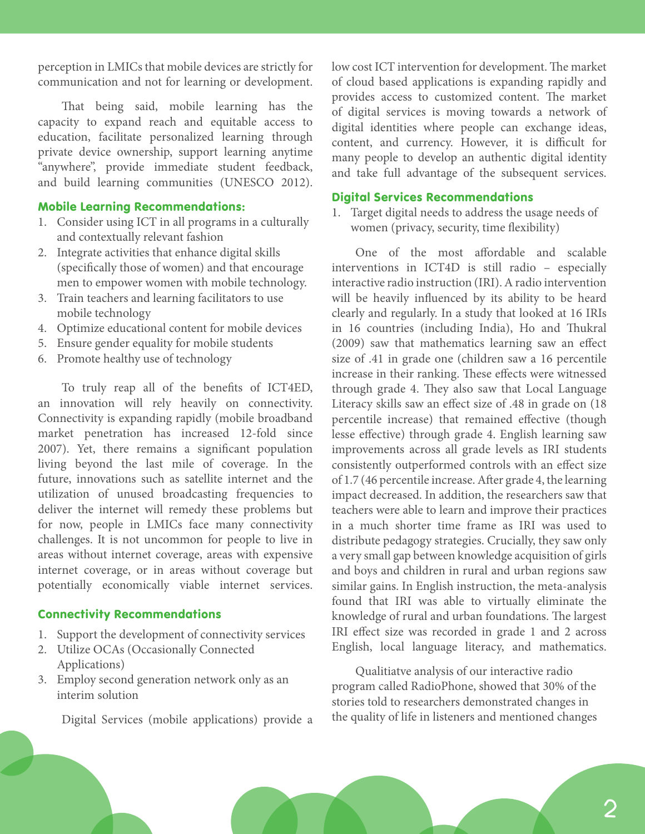perception in LMICs that mobile devices are strictly for communication and not for learning or development.

That being said, mobile learning has the capacity to expand reach and equitable access to education, facilitate personalized learning through private device ownership, support learning anytime "anywhere", provide immediate student feedback, and build learning communities (UNESCO 2012).

#### Mobile Learning Recommendations:

- 1. Consider using ICT in all programs in a culturally and contextually relevant fashion
- 2. Integrate activities that enhance digital skills (specifically those of women) and that encourage men to empower women with mobile technology.
- 3. Train teachers and learning facilitators to use mobile technology
- 4. Optimize educational content for mobile devices
- 5. Ensure gender equality for mobile students
- 6. Promote healthy use of technology

To truly reap all of the benefits of ICT4ED, an innovation will rely heavily on connectivity. Connectivity is expanding rapidly (mobile broadband market penetration has increased 12-fold since 2007). Yet, there remains a significant population living beyond the last mile of coverage. In the future, innovations such as satellite internet and the utilization of unused broadcasting frequencies to deliver the internet will remedy these problems but for now, people in LMICs face many connectivity challenges. It is not uncommon for people to live in areas without internet coverage, areas with expensive internet coverage, or in areas without coverage but potentially economically viable internet services.

#### Connectivity Recommendations

- 1. Support the development of connectivity services
- 2. Utilize OCAs (Occasionally Connected Applications)
- 3. Employ second generation network only as an interim solution

Digital Services (mobile applications) provide a

low cost ICT intervention for development. The market of cloud based applications is expanding rapidly and provides access to customized content. The market of digital services is moving towards a network of digital identities where people can exchange ideas, content, and currency. However, it is difficult for many people to develop an authentic digital identity and take full advantage of the subsequent services.

#### Digital Services Recommendations

1. Target digital needs to address the usage needs of women (privacy, security, time flexibility)

One of the most affordable and scalable interventions in ICT4D is still radio – especially interactive radio instruction (IRI). A radio intervention will be heavily influenced by its ability to be heard clearly and regularly. In a study that looked at 16 IRIs in 16 countries (including India), Ho and Thukral (2009) saw that mathematics learning saw an effect size of .41 in grade one (children saw a 16 percentile increase in their ranking. These effects were witnessed through grade 4. They also saw that Local Language Literacy skills saw an effect size of .48 in grade on (18 percentile increase) that remained effective (though lesse effective) through grade 4. English learning saw improvements across all grade levels as IRI students consistently outperformed controls with an effect size of 1.7 (46 percentile increase. After grade 4, the learning impact decreased. In addition, the researchers saw that teachers were able to learn and improve their practices in a much shorter time frame as IRI was used to distribute pedagogy strategies. Crucially, they saw only a very small gap between knowledge acquisition of girls and boys and children in rural and urban regions saw similar gains. In English instruction, the meta-analysis found that IRI was able to virtually eliminate the knowledge of rural and urban foundations. The largest IRI effect size was recorded in grade 1 and 2 across English, local language literacy, and mathematics.

Qualitiatve analysis of our interactive radio program called RadioPhone, showed that 30% of the stories told to researchers demonstrated changes in the quality of life in listeners and mentioned changes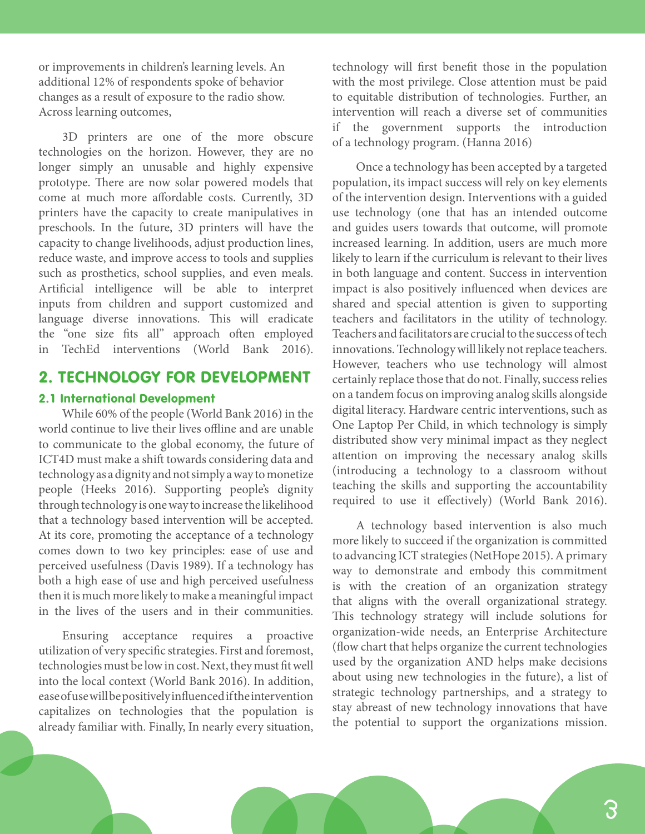or improvements in children's learning levels. An additional 12% of respondents spoke of behavior changes as a result of exposure to the radio show. Across learning outcomes,

3D printers are one of the more obscure technologies on the horizon. However, they are no longer simply an unusable and highly expensive prototype. There are now solar powered models that come at much more affordable costs. Currently, 3D printers have the capacity to create manipulatives in preschools. In the future, 3D printers will have the capacity to change livelihoods, adjust production lines, reduce waste, and improve access to tools and supplies such as prosthetics, school supplies, and even meals. Artificial intelligence will be able to interpret inputs from children and support customized and language diverse innovations. This will eradicate the "one size fits all" approach often employed in TechEd interventions (World Bank 2016).

# 2. TECHNOLOGY FOR DEVELOPMENT

#### 2.1 International Development

While 60% of the people (World Bank 2016) in the world continue to live their lives offline and are unable to communicate to the global economy, the future of ICT4D must make a shift towards considering data and technology as a dignity and not simply a way to monetize people (Heeks 2016). Supporting people's dignity through technology is one way to increase the likelihood that a technology based intervention will be accepted. At its core, promoting the acceptance of a technology comes down to two key principles: ease of use and perceived usefulness (Davis 1989). If a technology has both a high ease of use and high perceived usefulness then it is much more likely to make a meaningful impact in the lives of the users and in their communities.

Ensuring acceptance requires a proactive utilization of very specific strategies. First and foremost, technologies must be low in cost. Next, they must fit well into the local context (World Bank 2016). In addition, ease of use will be positively influenced if the intervention capitalizes on technologies that the population is already familiar with. Finally, In nearly every situation,

technology will first benefit those in the population with the most privilege. Close attention must be paid to equitable distribution of technologies. Further, an intervention will reach a diverse set of communities if the government supports the introduction of a technology program. (Hanna 2016)

Once a technology has been accepted by a targeted population, its impact success will rely on key elements of the intervention design. Interventions with a guided use technology (one that has an intended outcome and guides users towards that outcome, will promote increased learning. In addition, users are much more likely to learn if the curriculum is relevant to their lives in both language and content. Success in intervention impact is also positively influenced when devices are shared and special attention is given to supporting teachers and facilitators in the utility of technology. Teachers and facilitators are crucial to the success of tech innovations. Technology will likely not replace teachers. However, teachers who use technology will almost certainly replace those that do not. Finally, success relies on a tandem focus on improving analog skills alongside digital literacy. Hardware centric interventions, such as One Laptop Per Child, in which technology is simply distributed show very minimal impact as they neglect attention on improving the necessary analog skills (introducing a technology to a classroom without teaching the skills and supporting the accountability required to use it effectively) (World Bank 2016).

A technology based intervention is also much more likely to succeed if the organization is committed to advancing ICT strategies (NetHope 2015). A primary way to demonstrate and embody this commitment is with the creation of an organization strategy that aligns with the overall organizational strategy. This technology strategy will include solutions for organization-wide needs, an Enterprise Architecture (flow chart that helps organize the current technologies used by the organization AND helps make decisions about using new technologies in the future), a list of strategic technology partnerships, and a strategy to stay abreast of new technology innovations that have the potential to support the organizations mission.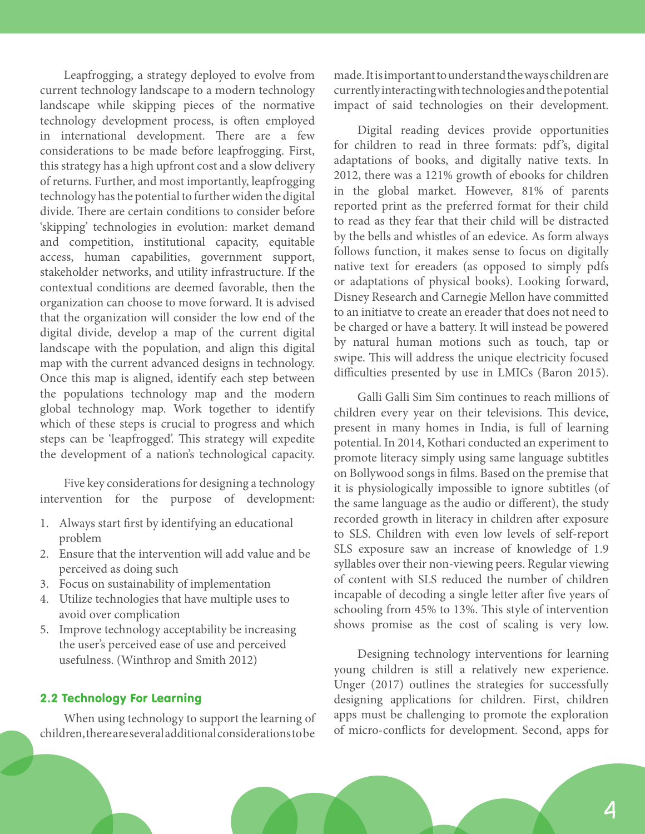Leapfrogging, a strategy deployed to evolve from current technology landscape to a modern technology landscape while skipping pieces of the normative technology development process, is often employed in international development. There are a few considerations to be made before leapfrogging. First, this strategy has a high upfront cost and a slow delivery of returns. Further, and most importantly, leapfrogging technology has the potential to further widen the digital divide. There are certain conditions to consider before 'skipping' technologies in evolution: market demand and competition, institutional capacity, equitable access, human capabilities, government support, stakeholder networks, and utility infrastructure. If the contextual conditions are deemed favorable, then the organization can choose to move forward. It is advised that the organization will consider the low end of the digital divide, develop a map of the current digital landscape with the population, and align this digital map with the current advanced designs in technology. Once this map is aligned, identify each step between the populations technology map and the modern global technology map. Work together to identify which of these steps is crucial to progress and which steps can be 'leapfrogged'. This strategy will expedite the development of a nation's technological capacity.

Five key considerations for designing a technology intervention for the purpose of development:

- 1. Always start first by identifying an educational problem
- 2. Ensure that the intervention will add value and be perceived as doing such
- 3. Focus on sustainability of implementation
- 4. Utilize technologies that have multiple uses to avoid over complication
- 5. Improve technology acceptability be increasing the user's perceived ease of use and perceived usefulness. (Winthrop and Smith 2012)

#### 2.2 Technology For Learning

When using technology to support the learning of children, there are several additional considerations to be made. It is important to understand the ways children are currently interacting with technologies and the potential impact of said technologies on their development.

Digital reading devices provide opportunities for children to read in three formats: pdf's, digital adaptations of books, and digitally native texts. In 2012, there was a 121% growth of ebooks for children in the global market. However, 81% of parents reported print as the preferred format for their child to read as they fear that their child will be distracted by the bells and whistles of an edevice. As form always follows function, it makes sense to focus on digitally native text for ereaders (as opposed to simply pdfs or adaptations of physical books). Looking forward, Disney Research and Carnegie Mellon have committed to an initiatve to create an ereader that does not need to be charged or have a battery. It will instead be powered by natural human motions such as touch, tap or swipe. This will address the unique electricity focused difficulties presented by use in LMICs (Baron 2015).

Galli Galli Sim Sim continues to reach millions of children every year on their televisions. This device, present in many homes in India, is full of learning potential. In 2014, Kothari conducted an experiment to promote literacy simply using same language subtitles on Bollywood songs in films. Based on the premise that it is physiologically impossible to ignore subtitles (of the same language as the audio or different), the study recorded growth in literacy in children after exposure to SLS. Children with even low levels of self-report SLS exposure saw an increase of knowledge of 1.9 syllables over their non-viewing peers. Regular viewing of content with SLS reduced the number of children incapable of decoding a single letter after five years of schooling from 45% to 13%. This style of intervention shows promise as the cost of scaling is very low.

Designing technology interventions for learning young children is still a relatively new experience. Unger (2017) outlines the strategies for successfully designing applications for children. First, children apps must be challenging to promote the exploration of micro-conflicts for development. Second, apps for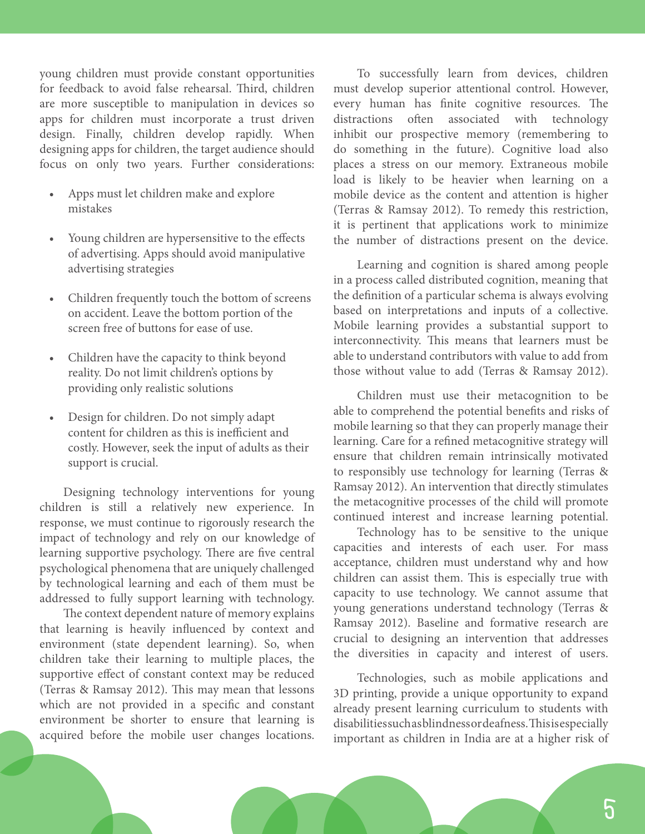young children must provide constant opportunities for feedback to avoid false rehearsal. Third, children are more susceptible to manipulation in devices so apps for children must incorporate a trust driven design. Finally, children develop rapidly. When designing apps for children, the target audience should focus on only two years. Further considerations:

- Apps must let children make and explore mistakes
- Young children are hypersensitive to the effects of advertising. Apps should avoid manipulative advertising strategies
- Children frequently touch the bottom of screens on accident. Leave the bottom portion of the screen free of buttons for ease of use.
- Children have the capacity to think beyond reality. Do not limit children's options by providing only realistic solutions
- Design for children. Do not simply adapt content for children as this is inefficient and costly. However, seek the input of adults as their support is crucial.

Designing technology interventions for young children is still a relatively new experience. In response, we must continue to rigorously research the impact of technology and rely on our knowledge of learning supportive psychology. There are five central psychological phenomena that are uniquely challenged by technological learning and each of them must be addressed to fully support learning with technology.

The context dependent nature of memory explains that learning is heavily influenced by context and environment (state dependent learning). So, when children take their learning to multiple places, the supportive effect of constant context may be reduced (Terras & Ramsay 2012). This may mean that lessons which are not provided in a specific and constant environment be shorter to ensure that learning is acquired before the mobile user changes locations.

To successfully learn from devices, children must develop superior attentional control. However, every human has finite cognitive resources. The distractions often associated with technology inhibit our prospective memory (remembering to do something in the future). Cognitive load also places a stress on our memory. Extraneous mobile load is likely to be heavier when learning on a mobile device as the content and attention is higher (Terras & Ramsay 2012). To remedy this restriction, it is pertinent that applications work to minimize the number of distractions present on the device.

Learning and cognition is shared among people in a process called distributed cognition, meaning that the definition of a particular schema is always evolving based on interpretations and inputs of a collective. Mobile learning provides a substantial support to interconnectivity. This means that learners must be able to understand contributors with value to add from those without value to add (Terras & Ramsay 2012).

Children must use their metacognition to be able to comprehend the potential benefits and risks of mobile learning so that they can properly manage their learning. Care for a refined metacognitive strategy will ensure that children remain intrinsically motivated to responsibly use technology for learning (Terras & Ramsay 2012). An intervention that directly stimulates the metacognitive processes of the child will promote continued interest and increase learning potential.

Technology has to be sensitive to the unique capacities and interests of each user. For mass acceptance, children must understand why and how children can assist them. This is especially true with capacity to use technology. We cannot assume that young generations understand technology (Terras & Ramsay 2012). Baseline and formative research are crucial to designing an intervention that addresses the diversities in capacity and interest of users.

Technologies, such as mobile applications and 3D printing, provide a unique opportunity to expand already present learning curriculum to students with disabilities such as blindness or deafness. This is especially important as children in India are at a higher risk of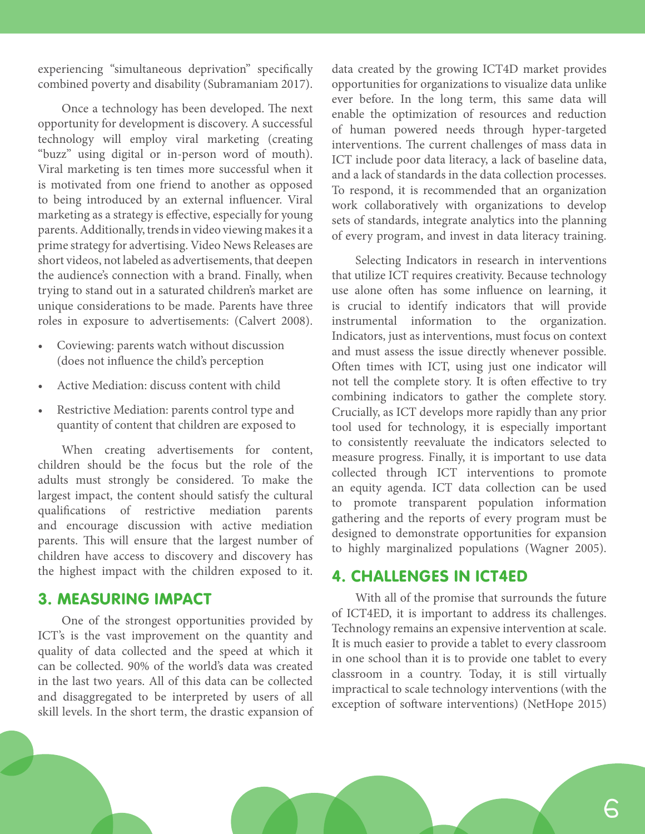experiencing "simultaneous deprivation" specifically combined poverty and disability (Subramaniam 2017).

Once a technology has been developed. The next opportunity for development is discovery. A successful technology will employ viral marketing (creating "buzz" using digital or in-person word of mouth). Viral marketing is ten times more successful when it is motivated from one friend to another as opposed to being introduced by an external influencer. Viral marketing as a strategy is effective, especially for young parents. Additionally, trends in video viewing makes it a prime strategy for advertising. Video News Releases are short videos, not labeled as advertisements, that deepen the audience's connection with a brand. Finally, when trying to stand out in a saturated children's market are unique considerations to be made. Parents have three roles in exposure to advertisements: (Calvert 2008).

- Coviewing: parents watch without discussion (does not influence the child's perception
- Active Mediation: discuss content with child
- Restrictive Mediation: parents control type and quantity of content that children are exposed to

When creating advertisements for content, children should be the focus but the role of the adults must strongly be considered. To make the largest impact, the content should satisfy the cultural qualifications of restrictive mediation parents and encourage discussion with active mediation parents. This will ensure that the largest number of children have access to discovery and discovery has the highest impact with the children exposed to it.

### 3. MEASURING IMPACT

One of the strongest opportunities provided by ICT's is the vast improvement on the quantity and quality of data collected and the speed at which it can be collected. 90% of the world's data was created in the last two years. All of this data can be collected and disaggregated to be interpreted by users of all skill levels. In the short term, the drastic expansion of data created by the growing ICT4D market provides opportunities for organizations to visualize data unlike ever before. In the long term, this same data will enable the optimization of resources and reduction of human powered needs through hyper-targeted interventions. The current challenges of mass data in ICT include poor data literacy, a lack of baseline data, and a lack of standards in the data collection processes. To respond, it is recommended that an organization work collaboratively with organizations to develop sets of standards, integrate analytics into the planning of every program, and invest in data literacy training.

Selecting Indicators in research in interventions that utilize ICT requires creativity. Because technology use alone often has some influence on learning, it is crucial to identify indicators that will provide instrumental information to the organization. Indicators, just as interventions, must focus on context and must assess the issue directly whenever possible. Often times with ICT, using just one indicator will not tell the complete story. It is often effective to try combining indicators to gather the complete story. Crucially, as ICT develops more rapidly than any prior tool used for technology, it is especially important to consistently reevaluate the indicators selected to measure progress. Finally, it is important to use data collected through ICT interventions to promote an equity agenda. ICT data collection can be used to promote transparent population information gathering and the reports of every program must be designed to demonstrate opportunities for expansion to highly marginalized populations (Wagner 2005).

## 4. CHALLENGES IN ICT4ED

With all of the promise that surrounds the future of ICT4ED, it is important to address its challenges. Technology remains an expensive intervention at scale. It is much easier to provide a tablet to every classroom in one school than it is to provide one tablet to every classroom in a country. Today, it is still virtually impractical to scale technology interventions (with the exception of software interventions) (NetHope 2015)

6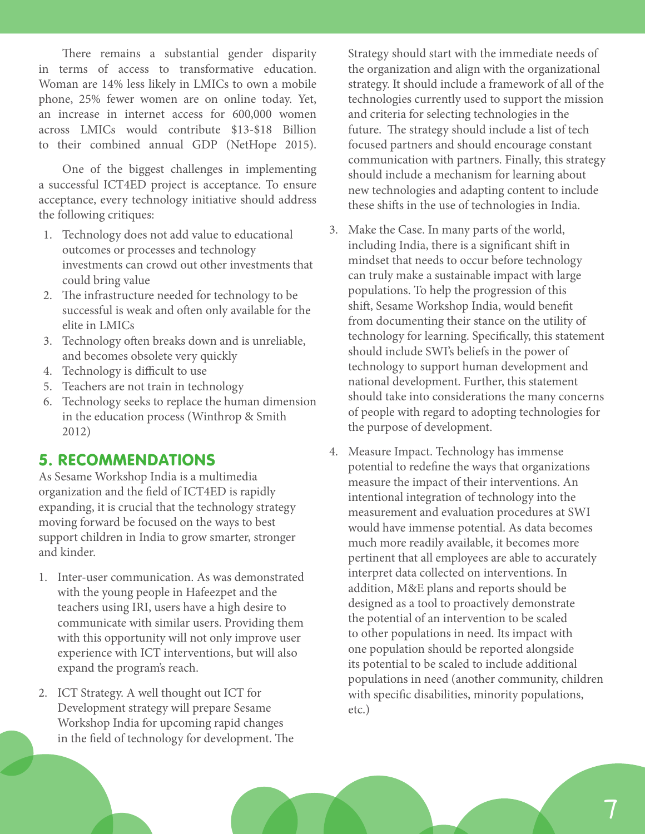There remains a substantial gender disparity in terms of access to transformative education. Woman are 14% less likely in LMICs to own a mobile phone, 25% fewer women are on online today. Yet, an increase in internet access for 600,000 women across LMICs would contribute \$13-\$18 Billion to their combined annual GDP (NetHope 2015).

One of the biggest challenges in implementing a successful ICT4ED project is acceptance. To ensure acceptance, every technology initiative should address the following critiques:

- 1. Technology does not add value to educational outcomes or processes and technology investments can crowd out other investments that could bring value
- 2. The infrastructure needed for technology to be successful is weak and often only available for the elite in LMICs
- 3. Technology often breaks down and is unreliable, and becomes obsolete very quickly
- 4. Technology is difficult to use
- 5. Teachers are not train in technology
- 6. Technology seeks to replace the human dimension in the education process (Winthrop & Smith 2012)

# 5. RECOMMENDATIONS

As Sesame Workshop India is a multimedia organization and the field of ICT4ED is rapidly expanding, it is crucial that the technology strategy moving forward be focused on the ways to best support children in India to grow smarter, stronger and kinder.

- 1. Inter-user communication. As was demonstrated with the young people in Hafeezpet and the teachers using IRI, users have a high desire to communicate with similar users. Providing them with this opportunity will not only improve user experience with ICT interventions, but will also expand the program's reach.
- 2. ICT Strategy. A well thought out ICT for Development strategy will prepare Sesame Workshop India for upcoming rapid changes in the field of technology for development. The

Strategy should start with the immediate needs of the organization and align with the organizational strategy. It should include a framework of all of the technologies currently used to support the mission and criteria for selecting technologies in the future. The strategy should include a list of tech focused partners and should encourage constant communication with partners. Finally, this strategy should include a mechanism for learning about new technologies and adapting content to include these shifts in the use of technologies in India.

- 3. Make the Case. In many parts of the world, including India, there is a significant shift in mindset that needs to occur before technology can truly make a sustainable impact with large populations. To help the progression of this shift, Sesame Workshop India, would benefit from documenting their stance on the utility of technology for learning. Specifically, this statement should include SWI's beliefs in the power of technology to support human development and national development. Further, this statement should take into considerations the many concerns of people with regard to adopting technologies for the purpose of development.
- 4. Measure Impact. Technology has immense potential to redefine the ways that organizations measure the impact of their interventions. An intentional integration of technology into the measurement and evaluation procedures at SWI would have immense potential. As data becomes much more readily available, it becomes more pertinent that all employees are able to accurately interpret data collected on interventions. In addition, M&E plans and reports should be designed as a tool to proactively demonstrate the potential of an intervention to be scaled to other populations in need. Its impact with one population should be reported alongside its potential to be scaled to include additional populations in need (another community, children with specific disabilities, minority populations, etc.)